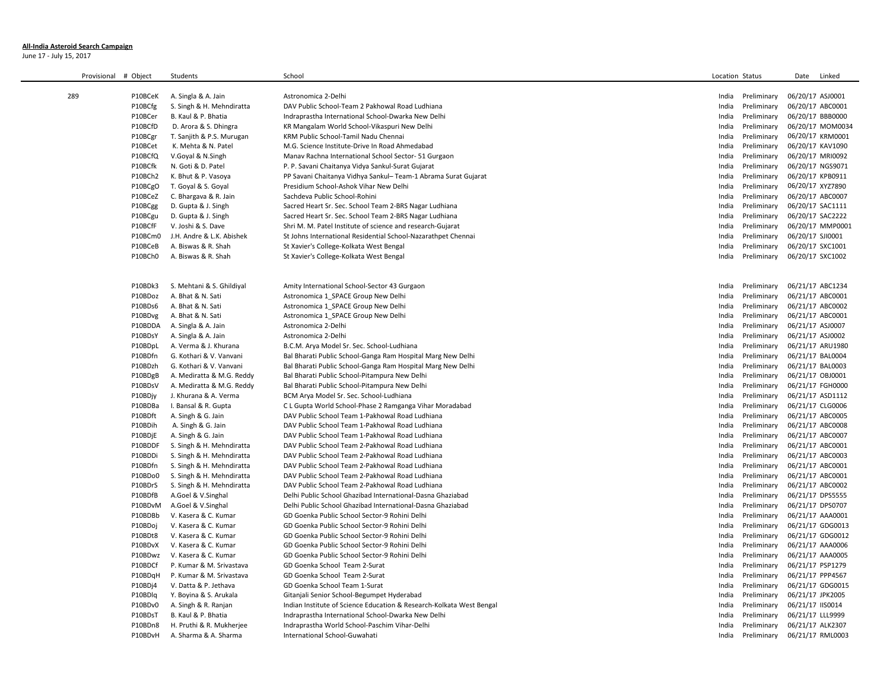## **All-India Asteroid Search Campaign**

June 17 - July 15, 2017

 $\sim$ 

| Provisional | # Object | Students                  | School                                                               | Location Status |             | Linked<br>Date   |  |
|-------------|----------|---------------------------|----------------------------------------------------------------------|-----------------|-------------|------------------|--|
| 289         | P10BCeK  | A. Singla & A. Jain       | Astronomica 2-Delhi                                                  | India           | Preliminary | 06/20/17 ASJ0001 |  |
|             | P10BCfg  | S. Singh & H. Mehndiratta | DAV Public School-Team 2 Pakhowal Road Ludhiana                      | India           | Preliminary | 06/20/17 ABC0001 |  |
|             | P10BCer  | B. Kaul & P. Bhatia       | Indraprastha International School-Dwarka New Delhi                   | India           | Preliminary | 06/20/17 BBB0000 |  |
|             | P10BCfD  | D. Arora & S. Dhingra     | KR Mangalam World School-Vikaspuri New Delhi                         | India           | Preliminary | 06/20/17 MOM0034 |  |
|             | P10BCgr  | T. Sanjith & P.S. Murugan | KRM Public School-Tamil Nadu Chennai                                 | India           | Preliminary | 06/20/17 KRM0001 |  |
|             | P10BCet  | K. Mehta & N. Patel       | M.G. Science Institute-Drive In Road Ahmedabad                       | India           | Preliminary | 06/20/17 KAV1090 |  |
|             | P10BCfQ  | V.Goyal & N.Singh         | Manav Rachna International School Sector-51 Gurgaon                  | India           | Preliminary | 06/20/17 MRI0092 |  |
|             | P10BCfk  | N. Goti & D. Patel        | P. P. Savani Chaitanya Vidya Sankul-Surat Gujarat                    | India           | Preliminary | 06/20/17 NGS9071 |  |
|             | P10BCh2  | K. Bhut & P. Vasoya       | PP Savani Chaitanya Vidhya Sankul- Team-1 Abrama Surat Gujarat       | India           | Preliminary | 06/20/17 KPB0911 |  |
|             | P10BCgO  | T. Goyal & S. Goyal       | Presidium School-Ashok Vihar New Delhi                               | India           | Preliminary | 06/20/17 XYZ7890 |  |
|             | P10BCeZ  | C. Bhargava & R. Jain     | Sachdeva Public School-Rohini                                        | India           | Preliminary | 06/20/17 ABC0007 |  |
|             | P10BCgg  | D. Gupta & J. Singh       | Sacred Heart Sr. Sec. School Team 2-BRS Nagar Ludhiana               | India           | Preliminary | 06/20/17 SAC1111 |  |
|             | P10BCgu  | D. Gupta & J. Singh       | Sacred Heart Sr. Sec. School Team 2-BRS Nagar Ludhiana               | India           | Preliminary | 06/20/17 SAC2222 |  |
|             | P10BCfF  | V. Joshi & S. Dave        | Shri M. M. Patel Institute of science and research-Gujarat           | India           | Preliminary | 06/20/17 MMP0001 |  |
|             | P10BCm0  | J.H. Andre & L.K. Abishek | St Johns International Residential School-Nazarathpet Chennai        | India           | Preliminary | 06/20/17 SJI0001 |  |
|             | P10BCeB  | A. Biswas & R. Shah       | St Xavier's College-Kolkata West Bengal                              | India           | Preliminary | 06/20/17 SXC1001 |  |
|             | P10BCh0  | A. Biswas & R. Shah       | St Xavier's College-Kolkata West Bengal                              | India           | Preliminary | 06/20/17 SXC1002 |  |
|             |          |                           |                                                                      |                 |             |                  |  |
|             | P10BDk3  | S. Mehtani & S. Ghildiyal | Amity International School-Sector 43 Gurgaon                         | India           | Preliminary | 06/21/17 ABC1234 |  |
|             | P10BDoz  | A. Bhat & N. Sati         | Astronomica 1 SPACE Group New Delhi                                  | India           | Preliminary | 06/21/17 ABC0001 |  |
|             | P10BDs6  | A. Bhat & N. Sati         | Astronomica 1 SPACE Group New Delhi                                  | India           | Preliminary | 06/21/17 ABC0002 |  |
|             | P10BDvg  | A. Bhat & N. Sati         | Astronomica 1 SPACE Group New Delhi                                  | India           | Preliminary | 06/21/17 ABC0001 |  |
|             | P10BDDA  | A. Singla & A. Jain       | Astronomica 2-Delhi                                                  | India           | Preliminary | 06/21/17 ASJ0007 |  |
|             | P10BDsY  | A. Singla & A. Jain       | Astronomica 2-Delhi                                                  | India           | Preliminary | 06/21/17 ASJ0002 |  |
|             | P10BDpL  | A. Verma & J. Khurana     | B.C.M. Arya Model Sr. Sec. School-Ludhiana                           | India           | Preliminary | 06/21/17 ARU1980 |  |
|             | P10BDfn  | G. Kothari & V. Vanvani   | Bal Bharati Public School-Ganga Ram Hospital Marg New Delhi          | India           | Preliminary | 06/21/17 BAL0004 |  |
|             | P10BDzh  | G. Kothari & V. Vanvani   | Bal Bharati Public School-Ganga Ram Hospital Marg New Delhi          | India           | Preliminary | 06/21/17 BAL0003 |  |
|             | P10BDgB  | A. Mediratta & M.G. Reddy | Bal Bharati Public School-Pitampura New Delhi                        | India           | Preliminary | 06/21/17 OBJ0001 |  |
|             | P10BDsV  | A. Mediratta & M.G. Reddy | Bal Bharati Public School-Pitampura New Delhi                        | India           | Preliminary | 06/21/17 FGH0000 |  |
|             | P10BDjy  | J. Khurana & A. Verma     | BCM Arya Model Sr. Sec. School-Ludhiana                              | India           | Preliminary | 06/21/17 ASD1112 |  |
|             | P10BDBa  | I. Bansal & R. Gupta      | C L Gupta World School-Phase 2 Ramganga Vihar Moradabad              | India           | Preliminary | 06/21/17 CLG0006 |  |
|             | P10BDft  | A. Singh & G. Jain        | DAV Public School Team 1-Pakhowal Road Ludhiana                      | India           | Preliminary | 06/21/17 ABC0005 |  |
|             | P10BDih  | A. Singh & G. Jain        | DAV Public School Team 1-Pakhowal Road Ludhiana                      | India           | Preliminary | 06/21/17 ABC0008 |  |
|             | P10BDjE  | A. Singh & G. Jain        | DAV Public School Team 1-Pakhowal Road Ludhiana                      | India           | Preliminary | 06/21/17 ABC0007 |  |
|             | P10BDDF  | S. Singh & H. Mehndiratta | DAV Public School Team 2-Pakhowal Road Ludhiana                      | India           | Preliminary | 06/21/17 ABC0001 |  |
|             | P10BDDi  | S. Singh & H. Mehndiratta | DAV Public School Team 2-Pakhowal Road Ludhiana                      | India           | Preliminary | 06/21/17 ABC0003 |  |
|             | P10BDfn  | S. Singh & H. Mehndiratta | DAV Public School Team 2-Pakhowal Road Ludhiana                      | India           | Preliminary | 06/21/17 ABC0001 |  |
|             | P10BDo0  | S. Singh & H. Mehndiratta | DAV Public School Team 2-Pakhowal Road Ludhiana                      | India           | Preliminary | 06/21/17 ABC0001 |  |
|             | P10BDrS  | S. Singh & H. Mehndiratta | DAV Public School Team 2-Pakhowal Road Ludhiana                      | India           | Preliminary | 06/21/17 ABC0002 |  |
|             | P10BDfB  | A.Goel & V.Singhal        | Delhi Public School Ghazibad International-Dasna Ghaziabad           | India           | Preliminary | 06/21/17 DPS5555 |  |
|             | P10BDvM  | A.Goel & V.Singhal        | Delhi Public School Ghazibad International-Dasna Ghaziabad           | India           | Preliminary | 06/21/17 DPS0707 |  |
|             | P10BDBb  | V. Kasera & C. Kumar      | GD Goenka Public School Sector-9 Rohini Delhi                        | India           | Preliminary | 06/21/17 AAA0001 |  |
|             | P10BDoj  | V. Kasera & C. Kumar      | GD Goenka Public School Sector-9 Rohini Delhi                        | India           | Preliminary | 06/21/17 GDG0013 |  |
|             | P10BDt8  | V. Kasera & C. Kumar      | GD Goenka Public School Sector-9 Rohini Delhi                        | India           | Preliminary | 06/21/17 GDG0012 |  |
|             | P10BDvX  | V. Kasera & C. Kumar      | GD Goenka Public School Sector-9 Rohini Delhi                        | India           | Preliminary | 06/21/17 AAA0006 |  |
|             | P10BDwz  | V. Kasera & C. Kumar      | GD Goenka Public School Sector-9 Rohini Delhi                        | India           | Preliminary | 06/21/17 AAA0005 |  |
|             | P10BDCf  | P. Kumar & M. Srivastava  | GD Goenka School Team 2-Surat                                        | India           | Preliminary | 06/21/17 PSP1279 |  |
|             | P10BDqH  | P. Kumar & M. Srivastava  | GD Goenka School Team 2-Surat                                        | India           | Preliminary | 06/21/17 PPP4567 |  |
|             | P10BDj4  | V. Datta & P. Jethava     | GD Goenka School Team 1-Surat                                        | India           | Preliminary | 06/21/17 GDG0015 |  |
|             | P10BDlg  | Y. Boyina & S. Arukala    | Gitanjali Senior School-Begumpet Hyderabad                           | India           | Preliminary | 06/21/17 JPK2005 |  |
|             | P10BDv0  | A. Singh & R. Ranjan      | Indian Institute of Science Education & Research-Kolkata West Bengal | India           | Preliminary | 06/21/17 IIS0014 |  |
|             | P10BDsT  | B. Kaul & P. Bhatia       | Indraprastha International School-Dwarka New Delhi                   | India           | Preliminary | 06/21/17 LLL9999 |  |
|             | P10BDn8  | H. Pruthi & R. Mukherjee  | Indraprastha World School-Paschim Vihar-Delhi                        | India           | Preliminary | 06/21/17 ALK2307 |  |
|             | P10BDvH  | A. Sharma & A. Sharma     | International School-Guwahati                                        | India           | Preliminary | 06/21/17 RML0003 |  |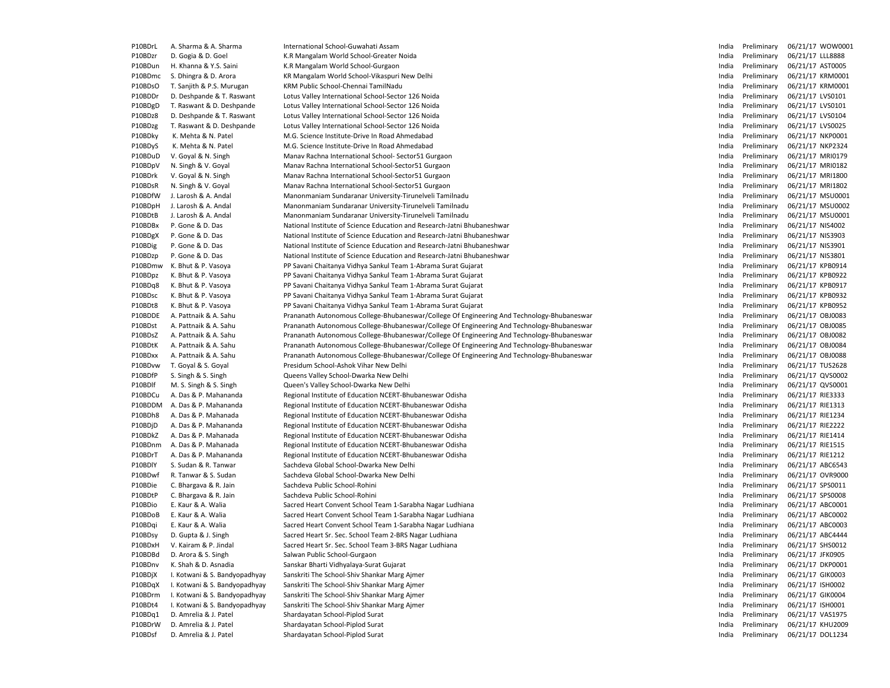| P10BDrL | A. Sharma & A. Sharma         | International School-Guwahati Assam                                                        | India | Preliminary | 06/21/17 WOW0001 |
|---------|-------------------------------|--------------------------------------------------------------------------------------------|-------|-------------|------------------|
| P10BDzr | D. Gogia & D. Goel            | K.R Mangalam World School-Greater Noida                                                    | India | Preliminary | 06/21/17 LLL8888 |
| P10BDun | H. Khanna & Y.S. Saini        | K.R Mangalam World School-Gurgaon                                                          | India | Preliminary | 06/21/17 AST0005 |
| P10BDmc | S. Dhingra & D. Arora         | KR Mangalam World School-Vikaspuri New Delhi                                               | India | Preliminary | 06/21/17 KRM0001 |
| P10BDsO | T. Sanjith & P.S. Murugan     | KRM Public School-Chennai TamilNadu                                                        | India | Preliminary | 06/21/17 KRM0001 |
| P10BDDr | D. Deshpande & T. Raswant     | Lotus Valley International School-Sector 126 Noida                                         | India | Preliminary | 06/21/17 LVS0101 |
| P10BDgD | T. Raswant & D. Deshpande     | Lotus Valley International School-Sector 126 Noida                                         | India | Preliminary | 06/21/17 LVS0101 |
| P10BDz8 | D. Deshpande & T. Raswant     | Lotus Valley International School-Sector 126 Noida                                         | India | Preliminary | 06/21/17 LVS0104 |
| P10BDzg | T. Raswant & D. Deshpande     | Lotus Valley International School-Sector 126 Noida                                         | India | Preliminary | 06/21/17 LVS0025 |
| P10BDky | K. Mehta & N. Patel           | M.G. Science Institute-Drive In Road Ahmedabad                                             | India | Preliminary | 06/21/17 NKP0001 |
| P10BDyS | K. Mehta & N. Patel           | M.G. Science Institute-Drive In Road Ahmedabad                                             | India | Preliminary | 06/21/17 NKP2324 |
| P10BDuD | V. Goyal & N. Singh           | Manav Rachna International School- Sector51 Gurgaon                                        | India | Preliminary | 06/21/17 MRI0179 |
| P10BDpV | N. Singh & V. Goyal           | Manav Rachna International School-Sector51 Gurgaon                                         | India | Preliminary | 06/21/17 MRI0182 |
| P10BDrk | V. Goyal & N. Singh           | Manav Rachna International School-Sector51 Gurgaon                                         | India | Preliminary | 06/21/17 MRI1800 |
| P10BDsR | N. Singh & V. Goyal           | Manav Rachna International School-Sector51 Gurgaon                                         | India | Preliminary | 06/21/17 MRI1802 |
| P10BDfW | J. Larosh & A. Andal          | Manonmaniam Sundaranar University-Tirunelveli Tamilnadu                                    | India | Preliminary | 06/21/17 MSU0001 |
| P10BDpH | J. Larosh & A. Andal          | Manonmaniam Sundaranar University-Tirunelveli Tamilnadu                                    | India | Preliminary | 06/21/17 MSU0002 |
| P10BDtB | J. Larosh & A. Andal          | Manonmaniam Sundaranar University-Tirunelveli Tamilnadu                                    | India | Preliminary | 06/21/17 MSU0001 |
| P10BDBx | P. Gone & D. Das              | National Institute of Science Education and Research-Jatni Bhubaneshwar                    | India | Preliminary | 06/21/17 NIS4002 |
| P10BDgX | P. Gone & D. Das              | National Institute of Science Education and Research-Jatni Bhubaneshwar                    | India | Preliminary | 06/21/17 NIS3903 |
| P10BDig | P. Gone & D. Das              | National Institute of Science Education and Research-Jatni Bhubaneshwar                    | India | Preliminary | 06/21/17 NIS3901 |
| P10BDzp | P. Gone & D. Das              | National Institute of Science Education and Research-Jatni Bhubaneshwar                    | India | Preliminary | 06/21/17 NIS3801 |
| P10BDmw | K. Bhut & P. Vasoya           | PP Savani Chaitanya Vidhya Sankul Team 1-Abrama Surat Gujarat                              | India | Preliminary | 06/21/17 KPB0914 |
| P10BDpz | K. Bhut & P. Vasoya           | PP Savani Chaitanya Vidhya Sankul Team 1-Abrama Surat Gujarat                              | India | Preliminary | 06/21/17 KPB0922 |
| P10BDq8 | K. Bhut & P. Vasoya           | PP Savani Chaitanya Vidhya Sankul Team 1-Abrama Surat Gujarat                              | India | Preliminary | 06/21/17 KPB0917 |
| P10BDsc | K. Bhut & P. Vasoya           | PP Savani Chaitanya Vidhya Sankul Team 1-Abrama Surat Gujarat                              | India | Preliminary | 06/21/17 KPB0932 |
| P10BDt8 | K. Bhut & P. Vasoya           | PP Savani Chaitanya Vidhya Sankul Team 1-Abrama Surat Gujarat                              | India | Preliminary | 06/21/17 KPB0952 |
| P10BDDE | A. Pattnaik & A. Sahu         | Prananath Autonomous College-Bhubaneswar/College Of Engineering And Technology-Bhubaneswar | India | Preliminary | 06/21/17 OBJ0083 |
| P10BDst | A. Pattnaik & A. Sahu         | Prananath Autonomous College-Bhubaneswar/College Of Engineering And Technology-Bhubaneswar | India | Preliminary | 06/21/17 OBJ0085 |
| P10BDsZ | A. Pattnaik & A. Sahu         | Prananath Autonomous College-Bhubaneswar/College Of Engineering And Technology-Bhubaneswar | India | Preliminary | 06/21/17 OBJ0082 |
| P10BDtK | A. Pattnaik & A. Sahu         | Prananath Autonomous College-Bhubaneswar/College Of Engineering And Technology-Bhubaneswar | India | Preliminary | 06/21/17 OBJ0084 |
| P10BDxx | A. Pattnaik & A. Sahu         | Prananath Autonomous College-Bhubaneswar/College Of Engineering And Technology-Bhubaneswar | India | Preliminary | 06/21/17 OBJ0088 |
| P10BDvw | T. Goyal & S. Goyal           | Presidum School-Ashok Vihar New Delhi                                                      | India | Preliminary | 06/21/17 TUS2628 |
| P10BDfP | S. Singh & S. Singh           | Queens Valley School-Dwarka New Delhi                                                      | India | Preliminary | 06/21/17 QVS0002 |
| P10BDlf | M. S. Singh & S. Singh        | Queen's Valley School-Dwarka New Delhi                                                     | India | Preliminary | 06/21/17 QVS0001 |
| P10BDCu | A. Das & P. Mahananda         | Regional Institute of Education NCERT-Bhubaneswar Odisha                                   | India | Preliminary | 06/21/17 RIE3333 |
| P10BDDM | A. Das & P. Mahananda         | Regional Institute of Education NCERT-Bhubaneswar Odisha                                   | India | Preliminary | 06/21/17 RIE1313 |
| P10BDh8 | A. Das & P. Mahanada          | Regional Institute of Education NCERT-Bhubaneswar Odisha                                   | India | Preliminary | 06/21/17 RIE1234 |
| P10BDjD | A. Das & P. Mahananda         | Regional Institute of Education NCERT-Bhubaneswar Odisha                                   | India | Preliminary | 06/21/17 RIE2222 |
| P10BDkZ | A. Das & P. Mahanada          | Regional Institute of Education NCERT-Bhubaneswar Odisha                                   | India | Preliminary | 06/21/17 RIE1414 |
| P10BDnm | A. Das & P. Mahanada          | Regional Institute of Education NCERT-Bhubaneswar Odisha                                   | India | Preliminary | 06/21/17 RIE1515 |
| P10BDrT | A. Das & P. Mahananda         | Regional Institute of Education NCERT-Bhubaneswar Odisha                                   | India | Preliminary | 06/21/17 RIE1212 |
| P10BDIY | S. Sudan & R. Tanwar          | Sachdeva Global School-Dwarka New Delhi                                                    | India | Preliminary | 06/21/17 ABC6543 |
| P10BDwf | R. Tanwar & S. Sudan          | Sachdeva Global School-Dwarka New Delhi                                                    | India | Preliminary | 06/21/17 OVR9000 |
| P10BDie | C. Bhargava & R. Jain         | Sachdeva Public School-Rohini                                                              | India | Preliminary | 06/21/17 SPS0011 |
| P10BDtP | C. Bhargava & R. Jain         | Sachdeva Public School-Rohini                                                              | India | Preliminary | 06/21/17 SPS0008 |
| P10BDio | E. Kaur & A. Walia            | Sacred Heart Convent School Team 1-Sarabha Nagar Ludhiana                                  | India | Preliminary | 06/21/17 ABC0001 |
| P10BDoB | E. Kaur & A. Walia            | Sacred Heart Convent School Team 1-Sarabha Nagar Ludhiana                                  | India | Preliminary | 06/21/17 ABC0002 |
| P10BDqi | E. Kaur & A. Walia            | Sacred Heart Convent School Team 1-Sarabha Nagar Ludhiana                                  | India | Preliminary | 06/21/17 ABC0003 |
| P10BDsy | D. Gupta & J. Singh           | Sacred Heart Sr. Sec. School Team 2-BRS Nagar Ludhiana                                     | India | Preliminary | 06/21/17 ABC4444 |
| P10BDxH | V. Kairam & P. Jindal         | Sacred Heart Sr. Sec. School Team 3-BRS Nagar Ludhiana                                     | India | Preliminary | 06/21/17 SHS0012 |
| P10BDBd | D. Arora & S. Singh           | Salwan Public School-Gurgaon                                                               | India | Preliminary | 06/21/17 JFK0905 |
| P10BDnv | K. Shah & D. Asnadia          | Sanskar Bharti Vidhyalaya-Surat Gujarat                                                    | India | Preliminary | 06/21/17 DKP0001 |
| P10BDjX | I. Kotwani & S. Bandyopadhyay | Sanskriti The School-Shiv Shankar Marg Ajmer                                               | India | Preliminary | 06/21/17 GIK0003 |
| P10BDqX | I. Kotwani & S. Bandyopadhyay | Sanskriti The School-Shiv Shankar Marg Ajmer                                               | India | Preliminary | 06/21/17 ISH0002 |
| P10BDrm | I. Kotwani & S. Bandyopadhyay | Sanskriti The School-Shiv Shankar Marg Ajmer                                               | India | Preliminary | 06/21/17 GIK0004 |
| P10BDt4 | I. Kotwani & S. Bandyopadhyay | Sanskriti The School-Shiv Shankar Marg Ajmer                                               | India | Preliminary | 06/21/17 ISH0001 |
| P10BDq1 | D. Amrelia & J. Patel         | Shardayatan School-Piplod Surat                                                            | India | Preliminary | 06/21/17 VAS1975 |
| P10BDrW | D. Amrelia & J. Patel         | Shardayatan School-Piplod Surat                                                            | India | Preliminary | 06/21/17 KHU2009 |
| P10BDsf | D. Amrelia & J. Patel         | Shardayatan School-Piplod Surat                                                            | India | Preliminary | 06/21/17 DOL1234 |
|         |                               |                                                                                            |       |             |                  |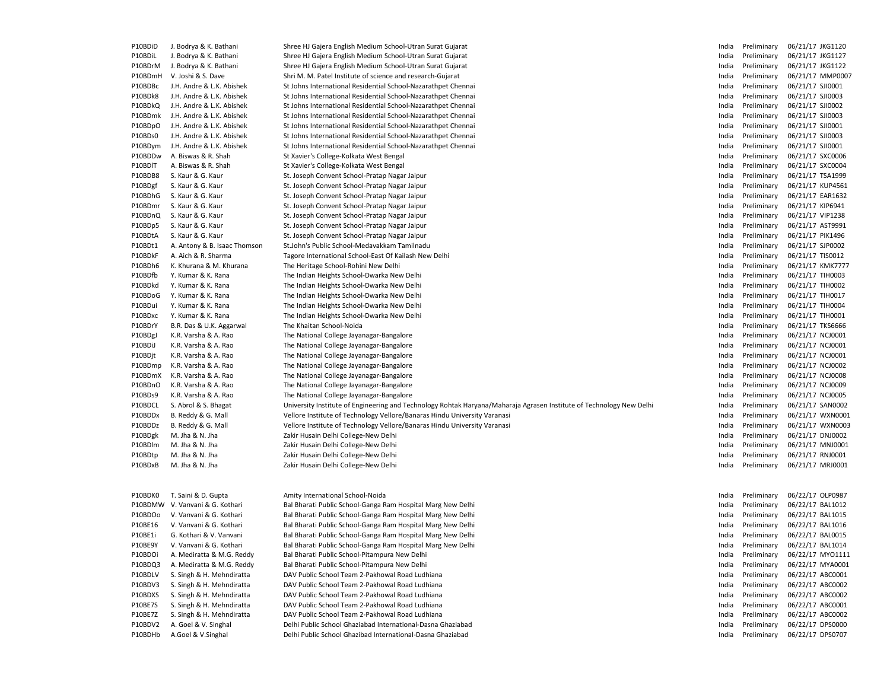| P10BDiD | J. Bodrya & K. Bathani                                 | Shree HJ Gajera English Medium School-Utran Surat Gujarat                                                                                                        | India          | Preliminary                | 06/21/17 JKG1120 |
|---------|--------------------------------------------------------|------------------------------------------------------------------------------------------------------------------------------------------------------------------|----------------|----------------------------|------------------|
| P10BDiL | J. Bodrya & K. Bathani                                 | Shree HJ Gajera English Medium School-Utran Surat Gujarat                                                                                                        | India          | Preliminary                | 06/21/17 JKG1127 |
| P10BDrM | J. Bodrya & K. Bathani                                 | Shree HJ Gajera English Medium School-Utran Surat Gujarat                                                                                                        | India          | Preliminary                | 06/21/17 JKG1122 |
| P10BDmH | V. Joshi & S. Dave                                     | Shri M. M. Patel Institute of science and research-Gujarat                                                                                                       | India          | Preliminary                | 06/21/17 MMP0007 |
| P10BDBc | J.H. Andre & L.K. Abishek                              | St Johns International Residential School-Nazarathpet Chennai                                                                                                    | India          | Preliminary                | 06/21/17 SJI0001 |
| P10BDk8 | J.H. Andre & L.K. Abishek                              | St Johns International Residential School-Nazarathpet Chennai                                                                                                    | India          | Preliminary                | 06/21/17 SJI0003 |
| P10BDkQ | J.H. Andre & L.K. Abishek                              | St Johns International Residential School-Nazarathpet Chennai                                                                                                    | India          | Preliminary                | 06/21/17 SJI0002 |
| P10BDmk | J.H. Andre & L.K. Abishek                              | St Johns International Residential School-Nazarathpet Chennai                                                                                                    | India          | Preliminary                | 06/21/17 SJI0003 |
| P10BDpO | J.H. Andre & L.K. Abishek                              | St Johns International Residential School-Nazarathpet Chennai                                                                                                    | India          | Preliminary                | 06/21/17 SJI0001 |
| P10BDs0 | J.H. Andre & L.K. Abishek                              | St Johns International Residential School-Nazarathpet Chennai                                                                                                    | India          | Preliminary                | 06/21/17 SJI0003 |
| P10BDym | J.H. Andre & L.K. Abishek                              | St Johns International Residential School-Nazarathpet Chennai                                                                                                    | India          | Preliminary                | 06/21/17 SJI0001 |
| P10BDDw | A. Biswas & R. Shah                                    | St Xavier's College-Kolkata West Bengal                                                                                                                          | India          | Preliminary                | 06/21/17 SXC0006 |
| P10BDIT | A. Biswas & R. Shah                                    | St Xavier's College-Kolkata West Bengal                                                                                                                          | India          | Preliminary                | 06/21/17 SXC0004 |
| P10BDB8 | S. Kaur & G. Kaur                                      | St. Joseph Convent School-Pratap Nagar Jaipur                                                                                                                    | India          | Preliminary                | 06/21/17 TSA1999 |
| P10BDgf | S. Kaur & G. Kaur                                      | St. Joseph Convent School-Pratap Nagar Jaipur                                                                                                                    | India          | Preliminary                | 06/21/17 KUP4561 |
| P10BDhG | S. Kaur & G. Kaur                                      | St. Joseph Convent School-Pratap Nagar Jaipur                                                                                                                    | India          | Preliminary                | 06/21/17 EAR1632 |
| P10BDmr | S. Kaur & G. Kaur                                      | St. Joseph Convent School-Pratap Nagar Jaipur                                                                                                                    | India          | Preliminary                | 06/21/17 KIP6941 |
| P10BDnQ | S. Kaur & G. Kaur                                      | St. Joseph Convent School-Pratap Nagar Jaipur                                                                                                                    | India          | Preliminary                | 06/21/17 VIP1238 |
| P10BDp5 | S. Kaur & G. Kaur                                      | St. Joseph Convent School-Pratap Nagar Jaipur                                                                                                                    | India          | Preliminary                | 06/21/17 AST9991 |
| P10BDtA | S. Kaur & G. Kaur                                      | St. Joseph Convent School-Pratap Nagar Jaipur                                                                                                                    | India          | Preliminary                | 06/21/17 PIK1496 |
| P10BDt1 | A. Antony & B. Isaac Thomson                           | St.John's Public School-Medavakkam Tamilnadu                                                                                                                     | India          | Preliminary                | 06/21/17 SJP0002 |
| P10BDkF | A. Aich & R. Sharma                                    | Tagore International School-East Of Kailash New Delhi                                                                                                            | India          | Preliminary                | 06/21/17 TIS0012 |
| P10BDh6 | K. Khurana & M. Khurana                                | The Heritage School-Rohini New Delhi                                                                                                                             | India          | Preliminary                | 06/21/17 KMK7777 |
| P10BDfb | Y. Kumar & K. Rana                                     | The Indian Heights School-Dwarka New Delhi                                                                                                                       | India          | Preliminary                | 06/21/17 TIH0003 |
| P10BDkd | Y. Kumar & K. Rana                                     | The Indian Heights School-Dwarka New Delhi                                                                                                                       | India          | Preliminary                | 06/21/17 TIH0002 |
| P10BDoG | Y. Kumar & K. Rana                                     | The Indian Heights School-Dwarka New Delhi                                                                                                                       | India          | Preliminary                | 06/21/17 TIH0017 |
| P10BDui | Y. Kumar & K. Rana                                     | The Indian Heights School-Dwarka New Delhi                                                                                                                       | India          | Preliminary                | 06/21/17 TIH0004 |
| P10BDxc | Y. Kumar & K. Rana                                     | The Indian Heights School-Dwarka New Delhi                                                                                                                       | India          | Preliminary                | 06/21/17 TIH0001 |
| P10BDrY | B.R. Das & U.K. Aggarwal                               | The Khaitan School-Noida                                                                                                                                         | India          | Preliminary                | 06/21/17 TKS6666 |
| P10BDgJ | K.R. Varsha & A. Rao                                   | The National College Jayanagar-Bangalore                                                                                                                         | India          | Preliminary                | 06/21/17 NCJ0001 |
| P10BDiJ | K.R. Varsha & A. Rao                                   | The National College Jayanagar-Bangalore                                                                                                                         | India          | Preliminary                | 06/21/17 NCJ0001 |
| P10BDjt | K.R. Varsha & A. Rao                                   | The National College Jayanagar-Bangalore                                                                                                                         | India          | Preliminary                | 06/21/17 NCJ0001 |
| P10BDmp | K.R. Varsha & A. Rao                                   | The National College Jayanagar-Bangalore                                                                                                                         | India          | Preliminary                | 06/21/17 NCJ0002 |
| P10BDmX | K.R. Varsha & A. Rao                                   | The National College Jayanagar-Bangalore                                                                                                                         | India          | Preliminary                | 06/21/17 NCJ0008 |
| P10BDnO | K.R. Varsha & A. Rao                                   |                                                                                                                                                                  | India          | Preliminary                | 06/21/17 NCJ0009 |
| P10BDs9 | K.R. Varsha & A. Rao                                   | The National College Jayanagar-Bangalore                                                                                                                         | India          | Preliminary                | 06/21/17 NCJ0005 |
| P10BDCL | S. Abrol & S. Bhagat                                   | The National College Jayanagar-Bangalore<br>University Institute of Engineering and Technology Rohtak Haryana/Maharaja Agrasen Institute of Technology New Delhi | India          | Preliminary                | 06/21/17 SAN0002 |
| P10BDDx | B. Reddy & G. Mall                                     | Vellore Institute of Technology Vellore/Banaras Hindu University Varanasi                                                                                        | India          | Preliminary                | 06/21/17 WXN0001 |
| P10BDDz | B. Reddy & G. Mall                                     | Vellore Institute of Technology Vellore/Banaras Hindu University Varanasi                                                                                        | India          | Preliminary                | 06/21/17 WXN0003 |
| P10BDgk | M. Jha & N. Jha                                        | Zakir Husain Delhi College-New Delhi                                                                                                                             | India          | Preliminary                | 06/21/17 DNJ0002 |
| P10BDlm | M. Jha & N. Jha                                        | Zakir Husain Delhi College-New Delhi                                                                                                                             | India          | Preliminary                | 06/21/17 MNJ0001 |
|         |                                                        |                                                                                                                                                                  | India          |                            | 06/21/17 RNJ0001 |
| P10BDtp | M. Jha & N. Jha                                        | Zakir Husain Delhi College-New Delhi                                                                                                                             |                | Preliminary                |                  |
| P10BDxB | M. Jha & N. Jha                                        | Zakir Husain Delhi College-New Delhi                                                                                                                             | India          | Preliminary                | 06/21/17 MRJ0001 |
|         |                                                        |                                                                                                                                                                  |                |                            |                  |
| P10BDK0 | T. Saini & D. Gupta                                    | Amity International School-Noida                                                                                                                                 | India          | Preliminary                | 06/22/17 OLP0987 |
|         | P10BDMW V. Vanvani & G. Kothari                        | Bal Bharati Public School-Ganga Ram Hospital Marg New Delhi                                                                                                      | India          | Preliminary                | 06/22/17 BAL1012 |
| P10BDOo | V. Vanvani & G. Kothari                                | Bal Bharati Public School-Ganga Ram Hospital Marg New Delhi                                                                                                      | India          | Preliminary                | 06/22/17 BAL1015 |
| P10BE16 | V. Vanvani & G. Kothari                                | Bal Bharati Public School-Ganga Ram Hospital Marg New Delhi                                                                                                      | India          | Preliminary                | 06/22/17 BAL1016 |
| P10BE1i | G. Kothari & V. Vanvani                                |                                                                                                                                                                  | India          | Preliminary                | 06/22/17 BAL0015 |
| P10BE9Y |                                                        | Bal Bharati Public School-Ganga Ram Hospital Marg New Delhi                                                                                                      |                |                            | 06/22/17 BAL1014 |
| P10BDOi | V. Vanvani & G. Kothari                                | Bal Bharati Public School-Ganga Ram Hospital Marg New Delhi                                                                                                      | India<br>India | Preliminary<br>Preliminary | 06/22/17 MYO1111 |
| P10BDQ3 | A. Mediratta & M.G. Reddy<br>A. Mediratta & M.G. Reddy | Bal Bharati Public School-Pitampura New Delhi                                                                                                                    | India          |                            | 06/22/17 MYA0001 |
| P10BDLV | S. Singh & H. Mehndiratta                              | Bal Bharati Public School-Pitampura New Delhi                                                                                                                    |                | Preliminary                | 06/22/17 ABC0001 |
| P10BDV3 |                                                        | DAV Public School Team 2-Pakhowal Road Ludhiana<br>DAV Public School Team 2-Pakhowal Road Ludhiana                                                               | India          | Preliminary                | 06/22/17 ABC0002 |
|         | S. Singh & H. Mehndiratta                              | DAV Public School Team 2-Pakhowal Road Ludhiana                                                                                                                  | India          | Preliminary                |                  |
| P10BDXS | S. Singh & H. Mehndiratta                              |                                                                                                                                                                  | India          | Preliminary                | 06/22/17 ABC0002 |
| P10BE7S | S. Singh & H. Mehndiratta                              | DAV Public School Team 2-Pakhowal Road Ludhiana                                                                                                                  | India          | Preliminary                | 06/22/17 ABC0001 |
| P10BE7Z | S. Singh & H. Mehndiratta                              | DAV Public School Team 2-Pakhowal Road Ludhiana                                                                                                                  | India          | Preliminary                | 06/22/17 ABC0002 |
| P10BDV2 | A. Goel & V. Singhal                                   | Delhi Public School Ghaziabad International-Dasna Ghaziabad                                                                                                      | India          | Preliminary                | 06/22/17 DPS0000 |
| P10BDHb | A.Goel & V.Singhal                                     | Delhi Public School Ghazibad International-Dasna Ghaziabad                                                                                                       | India          | Preliminary                | 06/22/17 DPS0707 |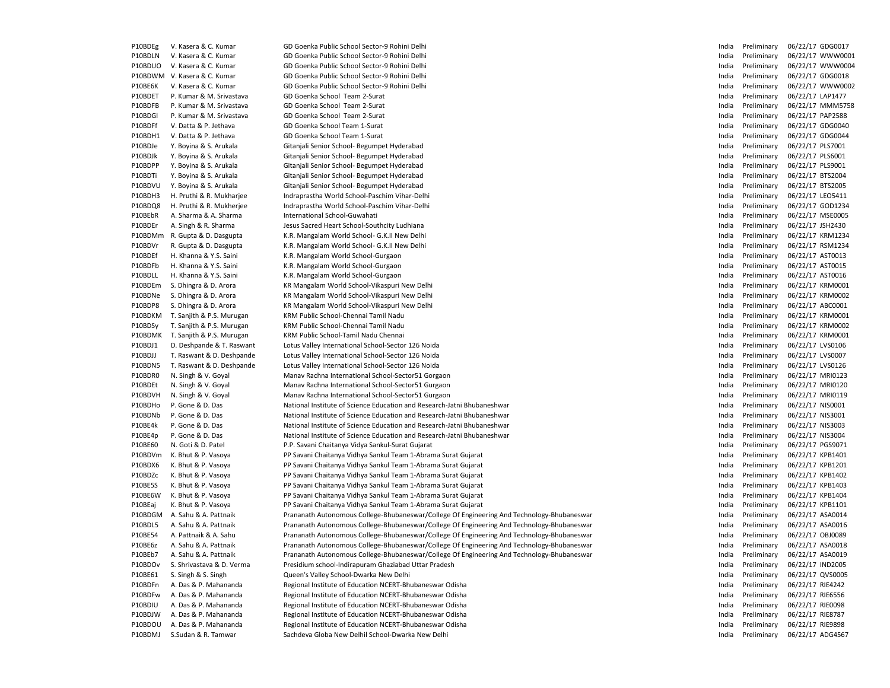| P10BDEg            | V. Kasera & C. Kumar      | GD Goenka Public School Sector-9 Rohini Delhi                                              | India          | Preliminary       | 06/22/17 GDG0017                     |
|--------------------|---------------------------|--------------------------------------------------------------------------------------------|----------------|-------------------|--------------------------------------|
| P10BDLN            | V. Kasera & C. Kumar      | GD Goenka Public School Sector-9 Rohini Delhi                                              | India          | Preliminary       | 06/22/17 WWW0001                     |
| P10BDUO            | V. Kasera & C. Kumar      | GD Goenka Public School Sector-9 Rohini Delhi                                              | India          | Preliminary       | 06/22/17 WWW0004                     |
| P10BDWM            | V. Kasera & C. Kumar      | GD Goenka Public School Sector-9 Rohini Delhi                                              | India          | Preliminary       | 06/22/17 GDG0018                     |
| P10BE6K            | V. Kasera & C. Kumar      | GD Goenka Public School Sector-9 Rohini Delhi                                              | India          | Preliminary       | 06/22/17 WWW0002                     |
| P10BDET            | P. Kumar & M. Srivastava  | GD Goenka School Team 2-Surat                                                              | India          | Preliminary       | 06/22/17 LAP1477                     |
| P10BDFB            | P. Kumar & M. Srivastava  | GD Goenka School Team 2-Surat                                                              | India          | Preliminary       | 06/22/17 MMM5758                     |
| P10BDGI            | P. Kumar & M. Srivastava  | GD Goenka School Team 2-Surat                                                              | India          | Preliminary       | 06/22/17 PAP2588                     |
| P10BDFf            | V. Datta & P. Jethava     | GD Goenka School Team 1-Surat                                                              | India          | Preliminary       | 06/22/17 GDG0040                     |
| P10BDH1            | V. Datta & P. Jethava     | GD Goenka School Team 1-Surat                                                              | India          | Preliminary       | 06/22/17 GDG0044                     |
| P10BDJe            | Y. Boyina & S. Arukala    | Gitanjali Senior School- Begumpet Hyderabad                                                | India          | Preliminary       | 06/22/17 PLS7001                     |
| P10BDJk            | Y. Boyina & S. Arukala    | Gitanjali Senior School- Begumpet Hyderabad                                                | India          | Preliminary       | 06/22/17 PLS6001                     |
| P10BDPP            | Y. Boyina & S. Arukala    | Gitanjali Senior School- Begumpet Hyderabad                                                | India          | Preliminary       | 06/22/17 PLS9001                     |
| P10BDTi            | Y. Boyina & S. Arukala    | Gitanjali Senior School- Begumpet Hyderabad                                                | India          | Preliminary       | 06/22/17 BTS2004                     |
| P10BDVU            | Y. Boyina & S. Arukala    | Gitanjali Senior School- Begumpet Hyderabad                                                | India          | Preliminary       | 06/22/17 BTS2005                     |
| P10BDH3            | H. Pruthi & R. Mukharjee  | Indraprastha World School-Paschim Vihar-Delhi                                              | India          | Preliminary       | 06/22/17 LEO5411                     |
| P10BDQ8            | H. Pruthi & R. Mukherjee  | Indraprastha World School-Paschim Vihar-Delhi                                              | India          | Preliminary       | 06/22/17 GOD1234                     |
| P10BEbR            | A. Sharma & A. Sharma     | International School-Guwahati                                                              | India          | Preliminary       | 06/22/17 MSE0005                     |
| P10BDEr            | A. Singh & R. Sharma      | Jesus Sacred Heart School-Southcity Ludhiana                                               | India          | Preliminary       | 06/22/17 JSH2430                     |
| P10BDMm            | R. Gupta & D. Dasgupta    | K.R. Mangalam World School- G.K.II New Delhi                                               | India          | Preliminary       | 06/22/17 KRM1234                     |
| P10BDVr            | R. Gupta & D. Dasgupta    | K.R. Mangalam World School- G.K.II New Delhi                                               | India          | Preliminary       | 06/22/17 RSM1234                     |
| P10BDEf            | H. Khanna & Y.S. Saini    | K.R. Mangalam World School-Gurgaon                                                         | India          | Preliminary       | 06/22/17 AST0013                     |
| P10BDFb            | H. Khanna & Y.S. Saini    | K.R. Mangalam World School-Gurgaon                                                         |                | Preliminary       | 06/22/17 AST0015                     |
| P10BDLL            | H. Khanna & Y.S. Saini    | K.R. Mangalam World School-Gurgaon                                                         | India<br>India | Preliminary       | 06/22/17 AST0016                     |
|                    |                           |                                                                                            |                |                   | 06/22/17 KRM0001                     |
| P10BDEm            | S. Dhingra & D. Arora     | KR Mangalam World School-Vikaspuri New Delhi                                               | India          | Preliminary       |                                      |
| P10BDNe<br>P10BDP8 | S. Dhingra & D. Arora     | KR Mangalam World School-Vikaspuri New Delhi                                               | India          | Preliminary       | 06/22/17 KRM0002<br>06/22/17 ABC0001 |
|                    | S. Dhingra & D. Arora     | KR Mangalam World School-Vikaspuri New Delhi                                               | India          | Preliminary       |                                      |
| P10BDKM            | T. Sanjith & P.S. Murugan | KRM Public School-Chennai Tamil Nadu                                                       | India          | Preliminary       | 06/22/17 KRM0001                     |
| P10BDSy            | T. Sanjith & P.S. Murugan | KRM Public School-Chennai Tamil Nadu                                                       | India          | Preliminary       | 06/22/17 KRM0002                     |
| P10BDMK            | T. Sanjith & P.S. Murugan | KRM Public School-Tamil Nadu Chennai                                                       | India          | Preliminary       | 06/22/17 KRM0001                     |
| P10BDJ1            | D. Deshpande & T. Raswant | Lotus Valley International School-Sector 126 Noida                                         | India          | Preliminary       | 06/22/17 LVS0106                     |
| P10BDJJ            | T. Raswant & D. Deshpande | Lotus Valley International School-Sector 126 Noida                                         | India          | Preliminary       | 06/22/17 LVS0007                     |
| P10BDN5            | T. Raswant & D. Deshpande | Lotus Valley International School-Sector 126 Noida                                         | India          | Preliminary       | 06/22/17 LVS0126                     |
| P10BDR0            | N. Singh & V. Goyal       | Manav Rachna International School-Sector51 Gorgaon                                         | India          | Preliminary       | 06/22/17 MRI0123                     |
| P10BDEt            | N. Singh & V. Goyal       | Manav Rachna International School-Sector51 Gurgaon                                         | India          | Preliminary       | 06/22/17 MRI0120                     |
| P10BDVH            | N. Singh & V. Goyal       | Manav Rachna International School-Sector51 Gurgaon                                         | India          | Preliminary       | 06/22/17 MRI0119                     |
| P10BDHo            | P. Gone & D. Das          | National Institute of Science Education and Research-Jatni Bhubaneshwar                    | India          | Preliminary       | 06/22/17 NIS0001                     |
| P10BDNb            | P. Gone & D. Das          | National Institute of Science Education and Research-Jatni Bhubaneshwar                    | India          | Preliminary       | 06/22/17 NIS3001                     |
| P10BE4k            | P. Gone & D. Das          | National Institute of Science Education and Research-Jatni Bhubaneshwar                    | India          | Preliminary       | 06/22/17 NIS3003                     |
| P10BE4p            | P. Gone & D. Das          | National Institute of Science Education and Research-Jatni Bhubaneshwar                    | India          | Preliminary       | 06/22/17 NIS3004                     |
| P10BE60            | N. Goti & D. Patel        | P.P. Savani Chaitanya Vidya Sankul-Surat Gujarat                                           | India          | Preliminary       | 06/22/17 PGS9071                     |
| P10BDVm            | K. Bhut & P. Vasoya       | PP Savani Chaitanya Vidhya Sankul Team 1-Abrama Surat Gujarat                              | India          | Preliminary       | 06/22/17 KPB1401                     |
| P10BDX6            | K. Bhut & P. Vasoya       | PP Savani Chaitanya Vidhya Sankul Team 1-Abrama Surat Gujarat                              | India          | Preliminary       | 06/22/17 KPB1201                     |
| P10BDZc            | K. Bhut & P. Vasoya       | PP Savani Chaitanya Vidhya Sankul Team 1-Abrama Surat Gujarat                              | India          | Preliminary       | 06/22/17 KPB1402                     |
| P10BE5S            | K. Bhut & P. Vasoya       | PP Savani Chaitanya Vidhya Sankul Team 1-Abrama Surat Gujarat                              | India          | Preliminary       | 06/22/17 KPB1403                     |
| P10BE6W            | K. Bhut & P. Vasoya       | PP Savani Chaitanya Vidhya Sankul Team 1-Abrama Surat Gujarat                              | India          | Preliminary       | 06/22/17 KPB1404                     |
| P10BEaj            | K. Bhut & P. Vasoya       | PP Savani Chaitanya Vidhya Sankul Team 1-Abrama Surat Gujarat                              | India          | Preliminary       | 06/22/17 KPB1101                     |
| P10BDGM            | A. Sahu & A. Pattnaik     | Prananath Autonomous College-Bhubaneswar/College Of Engineering And Technology-Bhubaneswar | India          | Preliminary       | 06/22/17 ASA0014                     |
| P10BDL5            | A. Sahu & A. Pattnaik     | Prananath Autonomous College-Bhubaneswar/College Of Engineering And Technology-Bhubaneswar | India          | Preliminary       | 06/22/17 ASA0016                     |
| P10BE54            | A. Pattnaik & A. Sahu     | Prananath Autonomous College-Bhubaneswar/College Of Engineering And Technology-Bhubaneswar | India          | Preliminary       | 06/22/17 OBJ0089                     |
| P10BE6z            | A. Sahu & A. Pattnaik     | Prananath Autonomous College-Bhubaneswar/College Of Engineering And Technology-Bhubaneswar | India          | Preliminary       | 06/22/17 ASA0018                     |
| P10BEb7            | A. Sahu & A. Pattnaik     | Prananath Autonomous College-Bhubaneswar/College Of Engineering And Technology-Bhubaneswar |                | India Preliminary | 06/22/17 ASA0019                     |
| P10BDOv            | S. Shrivastava & D. Verma | Presidium school-Indirapuram Ghaziabad Uttar Pradesh                                       | India          | Preliminary       | 06/22/17 IND2005                     |
| P10BE61            | S. Singh & S. Singh       | Queen's Valley School-Dwarka New Delhi                                                     | India          | Preliminary       | 06/22/17 QVS0005                     |
| P10BDFn            | A. Das & P. Mahananda     | Regional Institute of Education NCERT-Bhubaneswar Odisha                                   | India          | Preliminary       | 06/22/17 RIE4242                     |
| P10BDFw            | A. Das & P. Mahananda     | Regional Institute of Education NCERT-Bhubaneswar Odisha                                   | India          | Preliminary       | 06/22/17 RIE6556                     |
| P10BDIU            | A. Das & P. Mahananda     | Regional Institute of Education NCERT-Bhubaneswar Odisha                                   | India          | Preliminary       | 06/22/17 RIE0098                     |
| P10BDJW            | A. Das & P. Mahananda     | Regional Institute of Education NCERT-Bhubaneswar Odisha                                   | India          | Preliminary       | 06/22/17 RIE8787                     |
| P10BDOU            | A. Das & P. Mahananda     | Regional Institute of Education NCERT-Bhubaneswar Odisha                                   | India          | Preliminary       | 06/22/17 RIE9898                     |
| P10BDMJ            | S.Sudan & R. Tamwar       | Sachdeva Globa New Delhil School-Dwarka New Delhi                                          | India          | Preliminary       | 06/22/17 ADG4567                     |